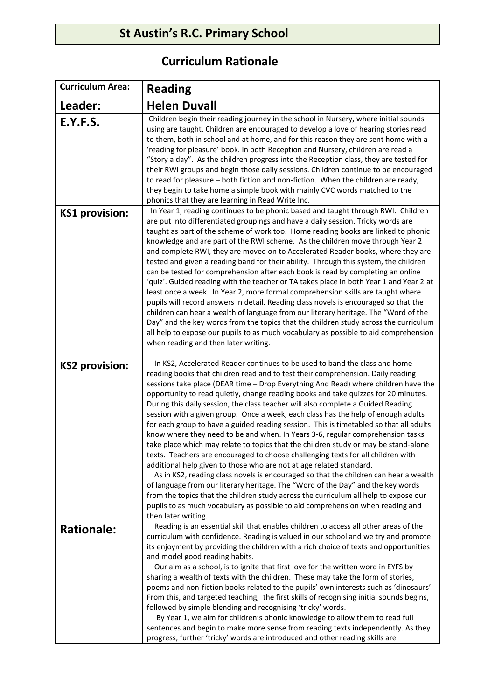## **St Austin's R.C. Primary School**

## **Curriculum Rationale**

| <b>Curriculum Area:</b> | <b>Reading</b>                                                                                                                                                                                                                                                                                                                                                                                                                                                                                                                                                                                                                                                                                                                                                                                                                                                                                                                                                                                                                                                                                                                                                                                                                                                                                                               |
|-------------------------|------------------------------------------------------------------------------------------------------------------------------------------------------------------------------------------------------------------------------------------------------------------------------------------------------------------------------------------------------------------------------------------------------------------------------------------------------------------------------------------------------------------------------------------------------------------------------------------------------------------------------------------------------------------------------------------------------------------------------------------------------------------------------------------------------------------------------------------------------------------------------------------------------------------------------------------------------------------------------------------------------------------------------------------------------------------------------------------------------------------------------------------------------------------------------------------------------------------------------------------------------------------------------------------------------------------------------|
| Leader:                 | <b>Helen Duvall</b>                                                                                                                                                                                                                                                                                                                                                                                                                                                                                                                                                                                                                                                                                                                                                                                                                                                                                                                                                                                                                                                                                                                                                                                                                                                                                                          |
| E.Y.F.S.                | Children begin their reading journey in the school in Nursery, where initial sounds<br>using are taught. Children are encouraged to develop a love of hearing stories read<br>to them, both in school and at home, and for this reason they are sent home with a<br>'reading for pleasure' book. In both Reception and Nursery, children are read a<br>"Story a day". As the children progress into the Reception class, they are tested for<br>their RWI groups and begin those daily sessions. Children continue to be encouraged<br>to read for pleasure - both fiction and non-fiction. When the children are ready,<br>they begin to take home a simple book with mainly CVC words matched to the<br>phonics that they are learning in Read Write Inc.                                                                                                                                                                                                                                                                                                                                                                                                                                                                                                                                                                  |
| <b>KS1 provision:</b>   | In Year 1, reading continues to be phonic based and taught through RWI. Children<br>are put into differentiated groupings and have a daily session. Tricky words are<br>taught as part of the scheme of work too. Home reading books are linked to phonic<br>knowledge and are part of the RWI scheme. As the children move through Year 2<br>and complete RWI, they are moved on to Accelerated Reader books, where they are<br>tested and given a reading band for their ability. Through this system, the children<br>can be tested for comprehension after each book is read by completing an online<br>'quiz'. Guided reading with the teacher or TA takes place in both Year 1 and Year 2 at<br>least once a week. In Year 2, more formal comprehension skills are taught where<br>pupils will record answers in detail. Reading class novels is encouraged so that the<br>children can hear a wealth of language from our literary heritage. The "Word of the<br>Day" and the key words from the topics that the children study across the curriculum<br>all help to expose our pupils to as much vocabulary as possible to aid comprehension<br>when reading and then later writing.                                                                                                                                 |
| <b>KS2 provision:</b>   | In KS2, Accelerated Reader continues to be used to band the class and home<br>reading books that children read and to test their comprehension. Daily reading<br>sessions take place (DEAR time - Drop Everything And Read) where children have the<br>opportunity to read quietly, change reading books and take quizzes for 20 minutes.<br>During this daily session, the class teacher will also complete a Guided Reading<br>session with a given group. Once a week, each class has the help of enough adults<br>for each group to have a guided reading session. This is timetabled so that all adults<br>know where they need to be and when. In Years 3-6, regular comprehension tasks<br>take place which may relate to topics that the children study or may be stand-alone<br>texts. Teachers are encouraged to choose challenging texts for all children with<br>additional help given to those who are not at age related standard.<br>As in KS2, reading class novels is encouraged so that the children can hear a wealth<br>of language from our literary heritage. The "Word of the Day" and the key words<br>from the topics that the children study across the curriculum all help to expose our<br>pupils to as much vocabulary as possible to aid comprehension when reading and<br>then later writing. |
| <b>Rationale:</b>       | Reading is an essential skill that enables children to access all other areas of the<br>curriculum with confidence. Reading is valued in our school and we try and promote<br>its enjoyment by providing the children with a rich choice of texts and opportunities<br>and model good reading habits.<br>Our aim as a school, is to ignite that first love for the written word in EYFS by<br>sharing a wealth of texts with the children. These may take the form of stories,<br>poems and non-fiction books related to the pupils' own interests such as 'dinosaurs'.<br>From this, and targeted teaching, the first skills of recognising initial sounds begins,<br>followed by simple blending and recognising 'tricky' words.<br>By Year 1, we aim for children's phonic knowledge to allow them to read full<br>sentences and begin to make more sense from reading texts independently. As they<br>progress, further 'tricky' words are introduced and other reading skills are                                                                                                                                                                                                                                                                                                                                       |